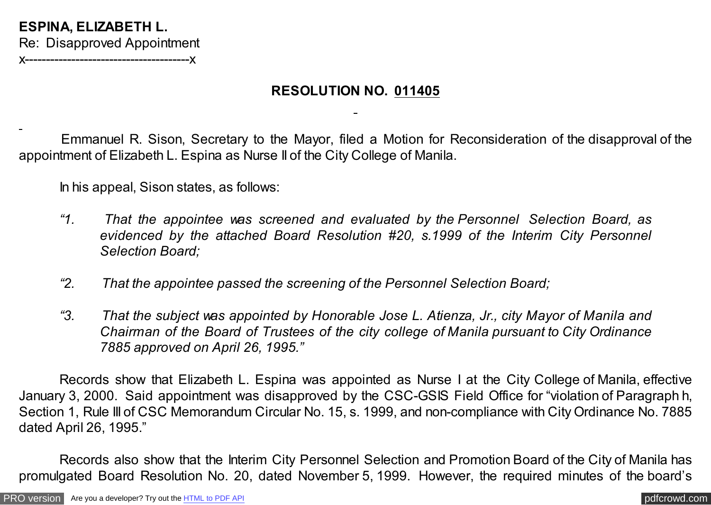## **ESPINA, ELIZABETH L.** Re: Disapproved Appointment

**X----------------------------**

## **RESOLUTION NO. 011405**

Emmanuel R. Sison, Secretary to the Mayor, filed a Motion for Reconsideration of the disapproval of the appointment of Elizabeth L. Espina as Nurse II of the City College of Manila.

In his appeal, Sison states, as follows:

- *"1. That the appointee was screened and evaluated by the Personnel Selection Board, as evidenced by the attached Board Resolution #20, s.1999 of the Interim City Personnel Selection Board;*
- *"2. That the appointee passed the screening of the Personnel Selection Board;*
- *"3. That the subject was appointed by Honorable Jose L. Atienza, Jr., city Mayor of Manila and Chairman of the Board of Trustees of the city college of Manila pursuant to City Ordinance 7885 approved on April 26, 1995."*

Records show that Elizabeth L. Espina was appointed as Nurse I at the City College of Manila, effective January 3, 2000. Said appointment was disapproved by the CSC-GSIS Field Office for "violation of Paragraph h, Section 1, Rule III of CSC Memorandum Circular No. 15, s. 1999, and non-compliance with City Ordinance No. 7885 dated April 26, 1995."

Records also show that the Interim City Personnel Selection and Promotion Board of the City of Manila has promulgated Board Resolution No. 20, dated November 5, 1999. However, the required minutes of the board's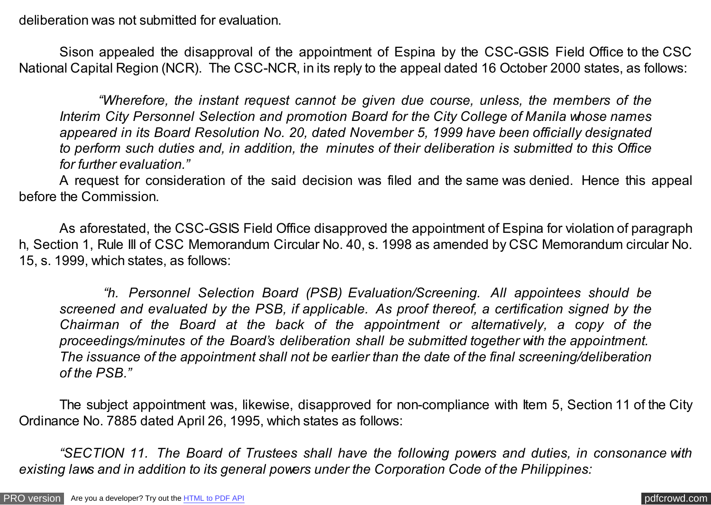deliberation was not submitted for evaluation.

Sison appealed the disapproval of the appointment of Espina by the CSC-GSIS Field Office to the CSC National Capital Region (NCR). The CSC-NCR, in its reply to the appeal dated 16 October 2000 states, as follows:

 *"Wherefore, the instant request cannot be given due course, unless, the members of the Interim City Personnel Selection and promotion Board for the City College of Manila whose names appeared in its Board Resolution No. 20, dated November 5, 1999 have been officially designated to perform such duties and, in addition, the minutes of their deliberation is submitted to this Office for further evaluation."*

A request for consideration of the said decision was filed and the same was denied. Hence this appeal before the Commission.

As aforestated, the CSC-GSIS Field Office disapproved the appointment of Espina for violation of paragraph h, Section 1, Rule III of CSC Memorandum Circular No. 40, s. 1998 as amended by CSC Memorandum circular No. 15, s. 1999, which states, as follows:

 *"h. Personnel Selection Board (PSB) Evaluation/Screening. All appointees should be screened and evaluated by the PSB, if applicable. As proof thereof, a certification signed by the Chairman of the Board at the back of the appointment or alternatively, a copy of the proceedings/minutes of the Board's deliberation shall be submitted together with the appointment. The issuance of the appointment shall not be earlier than the date of the final screening/deliberation of the PSB."*

The subject appointment was, likewise, disapproved for non-compliance with Item 5, Section 11 of the City Ordinance No. 7885 dated April 26, 1995, which states as follows:

*"SECTION 11. The Board of Trustees shall have the following powers and duties, in consonance with existing laws and in addition to its general powers under the Corporation Code of the Philippines:*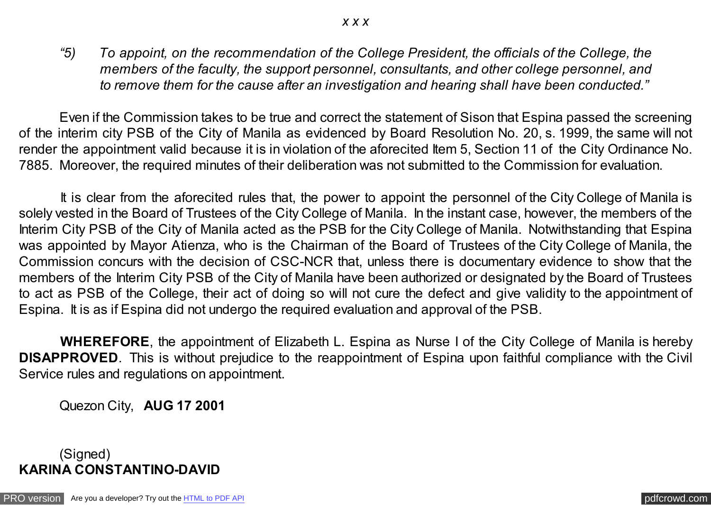*"5) To appoint, on the recommendation of the College President, the officials of the College, the members of the faculty, the support personnel, consultants, and other college personnel, and to remove them for the cause after an investigation and hearing shall have been conducted."*

 Even if the Commission takes to be true and correct the statement of Sison that Espina passed the screening of the interim city PSB of the City of Manila as evidenced by Board Resolution No. 20, s. 1999, the same will not render the appointment valid because it is in violation of the aforecited Item 5, Section 11 of the City Ordinance No. 7885. Moreover, the required minutes of their deliberation was not submitted to the Commission for evaluation.

 It is clear from the aforecited rules that, the power to appoint the personnel of the City College of Manila is solely vested in the Board of Trustees of the City College of Manila. In the instant case, however, the members of the Interim City PSB of the City of Manila acted as the PSB for the City College of Manila. Notwithstanding that Espina was appointed by Mayor Atienza, who is the Chairman of the Board of Trustees of the City College of Manila, the Commission concurs with the decision of CSC-NCR that, unless there is documentary evidence to show that the members of the Interim City PSB of the City of Manila have been authorized or designated by the Board of Trustees to act as PSB of the College, their act of doing so will not cure the defect and give validity to the appointment of Espina. It is as if Espina did not undergo the required evaluation and approval of the PSB.

 **WHEREFORE**, the appointment of Elizabeth L. Espina as Nurse I of the City College of Manila is hereby **DISAPPROVED**. This is without prejudice to the reappointment of Espina upon faithful compliance with the Civil Service rules and regulations on appointment.

Quezon City, **AUG 17 2001**

## (Signed) **KARINA CONSTANTINO-DAVID**

[PRO version](http://pdfcrowd.com/customize/) Are you a developer? Try out th[e HTML to PDF API](http://pdfcrowd.com/html-to-pdf-api/?ref=pdf) process and the example of the HTML to PDF API [pdfcrowd.com](http://pdfcrowd.com)